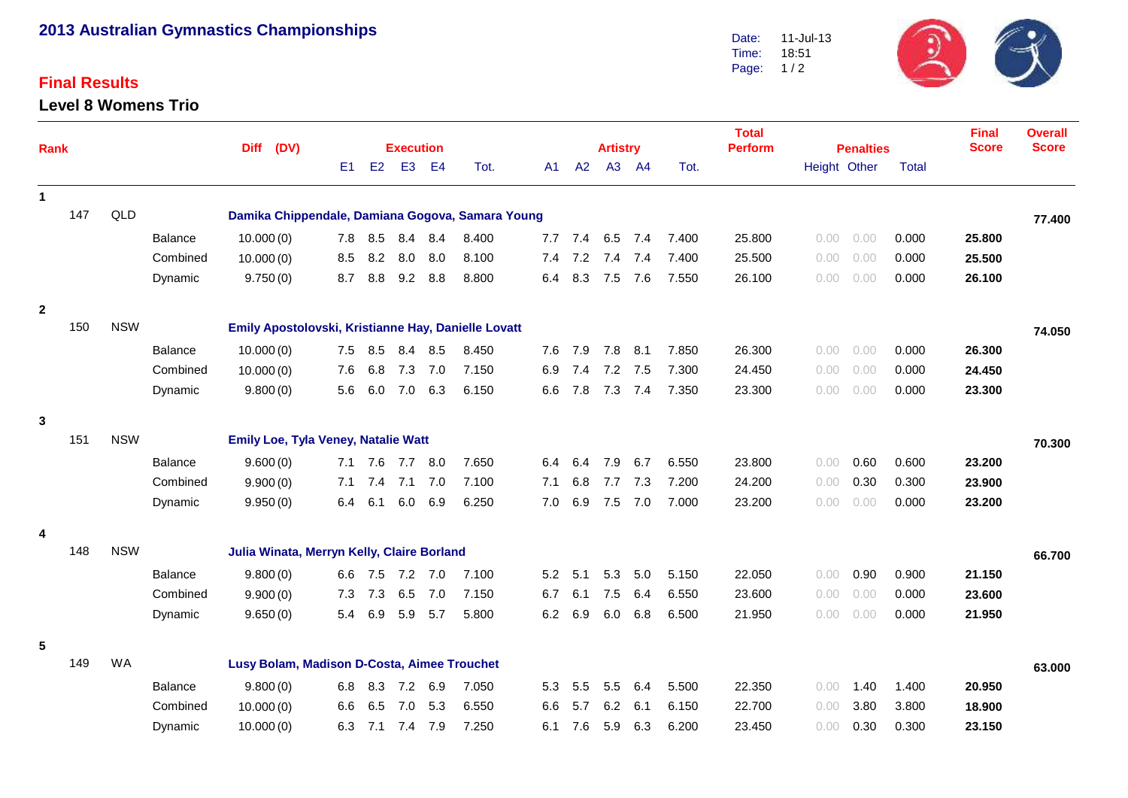# **2013 Australian Gymnastics Championships**

# **Final Results**

#### **Level 8 Womens Trio**



| <b>Rank</b>  |     |                                                          | <b>Diff</b><br>(DV) |                                                     |     | <b>Execution</b> |                 |         |       |     | <b>Artistry</b> |     |             | <b>Total</b><br><b>Perform</b> | <b>Penalties</b> |      |              | <b>Final</b><br><b>Score</b> | <b>Overall</b><br><b>Score</b> |        |
|--------------|-----|----------------------------------------------------------|---------------------|-----------------------------------------------------|-----|------------------|-----------------|---------|-------|-----|-----------------|-----|-------------|--------------------------------|------------------|------|--------------|------------------------------|--------------------------------|--------|
|              |     |                                                          |                     |                                                     | E1  | E2               | E <sub>3</sub>  | E4      | Tot.  | A1. | A2              |     | A3 A4       | Tot.                           |                  |      | Height Other | <b>Total</b>                 |                                |        |
| $\mathbf{1}$ |     |                                                          |                     |                                                     |     |                  |                 |         |       |     |                 |     |             |                                |                  |      |              |                              |                                |        |
|              | 147 | QLD                                                      |                     | Damika Chippendale, Damiana Gogova, Samara Young    |     |                  |                 |         |       |     |                 |     |             |                                |                  |      |              |                              |                                | 77.400 |
|              |     |                                                          | <b>Balance</b>      | 10.000(0)                                           |     | 7.8 8.5          | 8.4             | 8.4     | 8.400 |     | 7.7 7.4         |     | 6.5 7.4     | 7.400                          | 25.800           | 0.00 | 0.00         | 0.000                        | 25.800                         |        |
|              |     |                                                          | Combined            | 10.000(0)                                           | 8.5 | 8.2              | 8.0             | 8.0     | 8.100 | 7.4 | 7.2             | 7.4 | 7.4         | 7.400                          | 25.500           | 0.00 | 0.00         | 0.000                        | 25.500                         |        |
|              |     |                                                          | Dynamic             | 9.750(0)                                            | 8.7 | 8.8              | 9.2             | 8.8     | 8.800 | 6.4 | 8.3             | 7.5 | 7.6         | 7.550                          | 26.100           | 0.00 | 0.00         | 0.000                        | 26.100                         |        |
| $\mathbf{2}$ |     |                                                          |                     |                                                     |     |                  |                 |         |       |     |                 |     |             |                                |                  |      |              |                              |                                |        |
|              | 150 | <b>NSW</b>                                               |                     | Emily Apostolovski, Kristianne Hay, Danielle Lovatt |     |                  |                 |         |       |     |                 |     |             |                                |                  |      |              |                              |                                | 74.050 |
|              |     |                                                          | Balance             | 10.000(0)                                           |     | 7.5 8.5          | 8.4             | 8.5     | 8.450 | 7.6 | 7.9             | 7.8 | 8.1         | 7.850                          | 26.300           | 0.00 | 0.00         | 0.000                        | 26.300                         |        |
|              |     |                                                          | Combined            | 10.000(0)                                           | 7.6 | 6.8              | 7.3             | 7.0     | 7.150 | 6.9 | 7.4             | 7.2 | 7.5         | 7.300                          | 24.450           | 0.00 | 0.00         | 0.000                        | 24.450                         |        |
|              |     |                                                          | Dynamic             | 9.800(0)                                            | 5.6 | 6.0              |                 | 7.0 6.3 | 6.150 | 6.6 | 7.8             | 7.3 | 7.4         | 7.350                          | 23.300           | 0.00 | 0.00         | 0.000                        | 23.300                         |        |
| 3            |     |                                                          |                     |                                                     |     |                  |                 |         |       |     |                 |     |             |                                |                  |      |              |                              |                                |        |
|              | 151 | <b>NSW</b>                                               |                     | <b>Emily Loe, Tyla Veney, Natalie Watt</b>          |     |                  |                 |         |       |     |                 |     |             |                                |                  |      |              |                              |                                | 70.300 |
|              |     |                                                          | <b>Balance</b>      | 9.600(0)                                            |     |                  | 7.1 7.6 7.7     | 8.0     | 7.650 | 6.4 | 6.4             | 7.9 | 6.7         | 6.550                          | 23.800           | 0.00 | 0.60         | 0.600                        | 23.200                         |        |
|              |     |                                                          | Combined            | 9.900(0)                                            |     |                  | 7.1 7.4 7.1 7.0 |         | 7.100 | 7.1 | 6.8             |     | 7.7 7.3     | 7.200                          | 24.200           | 0.00 | 0.30         | 0.300                        | 23.900                         |        |
|              |     |                                                          | Dynamic             | 9.950(0)                                            | 6.4 | 6.1              |                 | 6.0 6.9 | 6.250 | 7.0 | 6.9             |     | $7.5$ $7.0$ | 7.000                          | 23.200           | 0.00 | 0.00         | 0.000                        | 23.200                         |        |
| 4            |     |                                                          |                     |                                                     |     |                  |                 |         |       |     |                 |     |             |                                |                  |      |              |                              |                                |        |
|              | 148 | <b>NSW</b>                                               |                     | Julia Winata, Merryn Kelly, Claire Borland          |     |                  |                 |         |       |     |                 |     |             |                                |                  |      |              |                              |                                | 66.700 |
|              |     |                                                          | Balance             | 9.800(0)                                            |     |                  | 6.6 7.5 7.2 7.0 |         | 7.100 | 5.2 | 5.1             | 5.3 | 5.0         | 5.150                          | 22.050           | 0.00 | 0.90         | 0.900                        | 21.150                         |        |
|              |     |                                                          | Combined            | 9.900(0)                                            | 7.3 | 7.3              | 6.5             | 7.0     | 7.150 | 6.7 | 6.1             | 7.5 | 6.4         | 6.550                          | 23.600           | 0.00 | 0.00         | 0.000                        | 23.600                         |        |
|              |     |                                                          | Dynamic             | 9.650(0)                                            | 5.4 | 6.9              | 5.9             | 5.7     | 5.800 | 6.2 | 6.9             | 6.0 | 6.8         | 6.500                          | 21.950           | 0.00 | 0.00         | 0.000                        | 21.950                         |        |
| 5            |     |                                                          |                     |                                                     |     |                  |                 |         |       |     |                 |     |             |                                |                  |      |              |                              |                                |        |
|              | 149 | <b>WA</b><br>Lusy Bolam, Madison D-Costa, Aimee Trouchet |                     |                                                     |     |                  |                 |         |       |     |                 |     |             | 63.000                         |                  |      |              |                              |                                |        |
|              |     |                                                          | Balance             | 9.800(0)                                            | 6.8 | 8.3              |                 | 7.2 6.9 | 7.050 | 5.3 | 5.5             | 5.5 | 6.4         | 5.500                          | 22.350           | 0.00 | 1.40         | 1.400                        | 20.950                         |        |
|              |     |                                                          | Combined            | 10.000(0)                                           | 6.6 | 6.5              | 7.0             | 5.3     | 6.550 | 6.6 | 5.7             | 6.2 | 6.1         | 6.150                          | 22.700           | 0.00 | 3.80         | 3.800                        | 18.900                         |        |
|              |     |                                                          | Dynamic             | 10.000(0)                                           | 6.3 | 7.1              | 7.4             | 7.9     | 7.250 | 6.1 | 7.6             | 5.9 | 6.3         | 6.200                          | 23.450           | 0.00 | 0.30         | 0.300                        | 23.150                         |        |